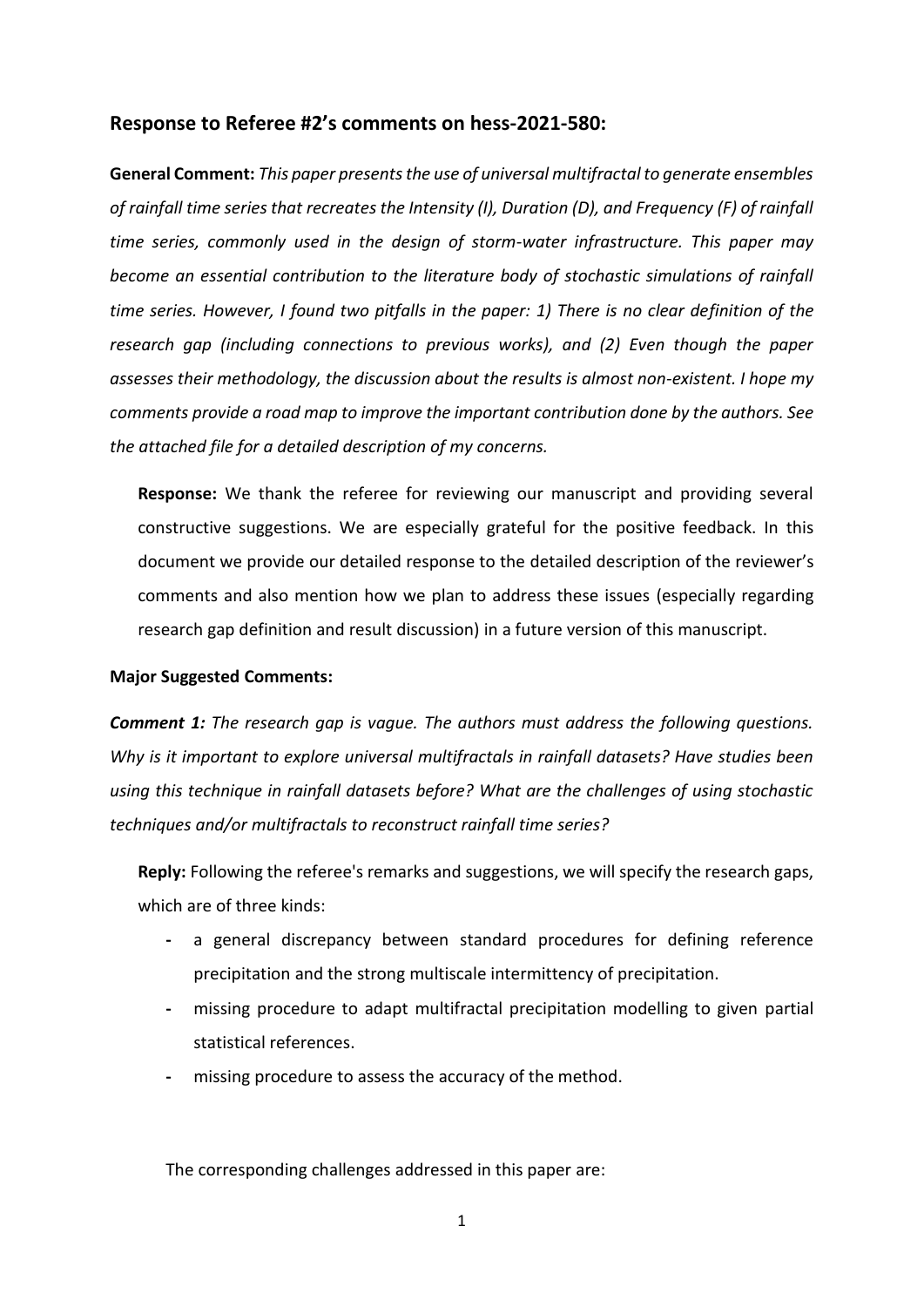## **Response to Referee #2's comments on hess-2021-580:**

**General Comment:** *This paper presents the use of universal multifractal to generate ensembles of rainfall time series that recreates the Intensity (I), Duration (D), and Frequency (F) of rainfall time series, commonly used in the design of storm-water infrastructure. This paper may become an essential contribution to the literature body of stochastic simulations of rainfall time series. However, I found two pitfalls in the paper: 1) There is no clear definition of the research gap (including connections to previous works), and (2) Even though the paper assesses their methodology, the discussion about the results is almost non-existent. I hope my comments provide a road map to improve the important contribution done by the authors. See the attached file for a detailed description of my concerns.*

**Response:** We thank the referee for reviewing our manuscript and providing several constructive suggestions. We are especially grateful for the positive feedback. In this document we provide our detailed response to the detailed description of the reviewer's comments and also mention how we plan to address these issues (especially regarding research gap definition and result discussion) in a future version of this manuscript.

## **Major Suggested Comments:**

*Comment 1: The research gap is vague. The authors must address the following questions. Why is it important to explore universal multifractals in rainfall datasets? Have studies been using this technique in rainfall datasets before? What are the challenges of using stochastic techniques and/or multifractals to reconstruct rainfall time series?*

**Reply:** Following the referee's remarks and suggestions, we will specify the research gaps, which are of three kinds:

- **-** a general discrepancy between standard procedures for defining reference precipitation and the strong multiscale intermittency of precipitation.
- **-** missing procedure to adapt multifractal precipitation modelling to given partial statistical references.
- **-** missing procedure to assess the accuracy of the method.

The corresponding challenges addressed in this paper are: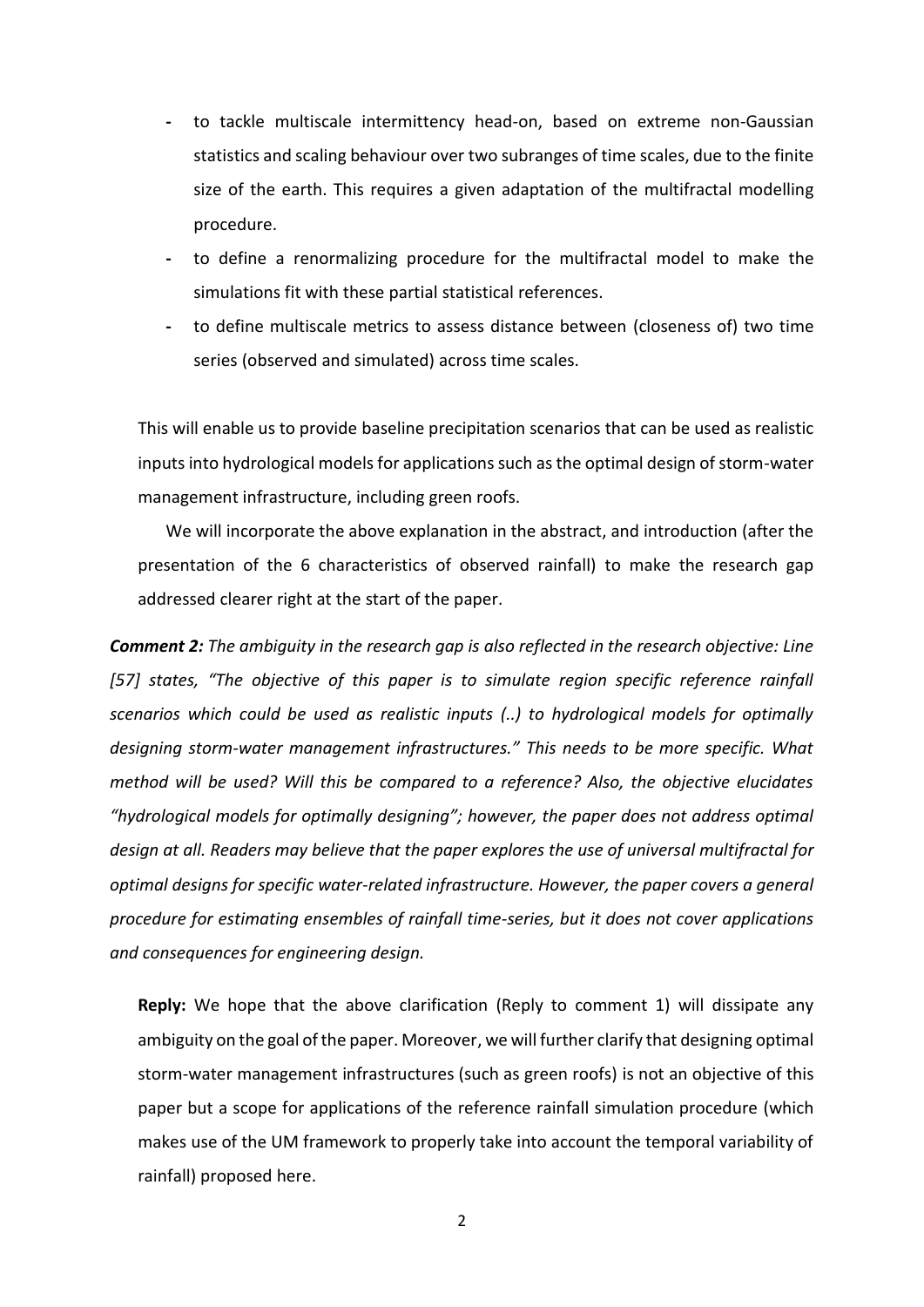- **-** to tackle multiscale intermittency head-on, based on extreme non-Gaussian statistics and scaling behaviour over two subranges of time scales, due to the finite size of the earth. This requires a given adaptation of the multifractal modelling procedure.
- **-** to define a renormalizing procedure for the multifractal model to make the simulations fit with these partial statistical references.
- **-** to define multiscale metrics to assess distance between (closeness of) two time series (observed and simulated) across time scales.

This will enable us to provide baseline precipitation scenarios that can be used as realistic inputs into hydrological models for applications such as the optimal design of storm-water management infrastructure, including green roofs.

We will incorporate the above explanation in the abstract, and introduction (after the presentation of the 6 characteristics of observed rainfall) to make the research gap addressed clearer right at the start of the paper.

*Comment 2: The ambiguity in the research gap is also reflected in the research objective: Line [57] states, "The objective of this paper is to simulate region specific reference rainfall scenarios which could be used as realistic inputs (..) to hydrological models for optimally designing storm-water management infrastructures." This needs to be more specific. What method will be used? Will this be compared to a reference? Also, the objective elucidates "hydrological models for optimally designing"; however, the paper does not address optimal design at all. Readers may believe that the paper explores the use of universal multifractal for optimal designs for specific water-related infrastructure. However, the paper covers a general procedure for estimating ensembles of rainfall time-series, but it does not cover applications and consequences for engineering design.*

**Reply:** We hope that the above clarification (Reply to comment 1) will dissipate any ambiguity on the goal of the paper. Moreover, we will further clarify that designing optimal storm-water management infrastructures (such as green roofs) is not an objective of this paper but a scope for applications of the reference rainfall simulation procedure (which makes use of the UM framework to properly take into account the temporal variability of rainfall) proposed here.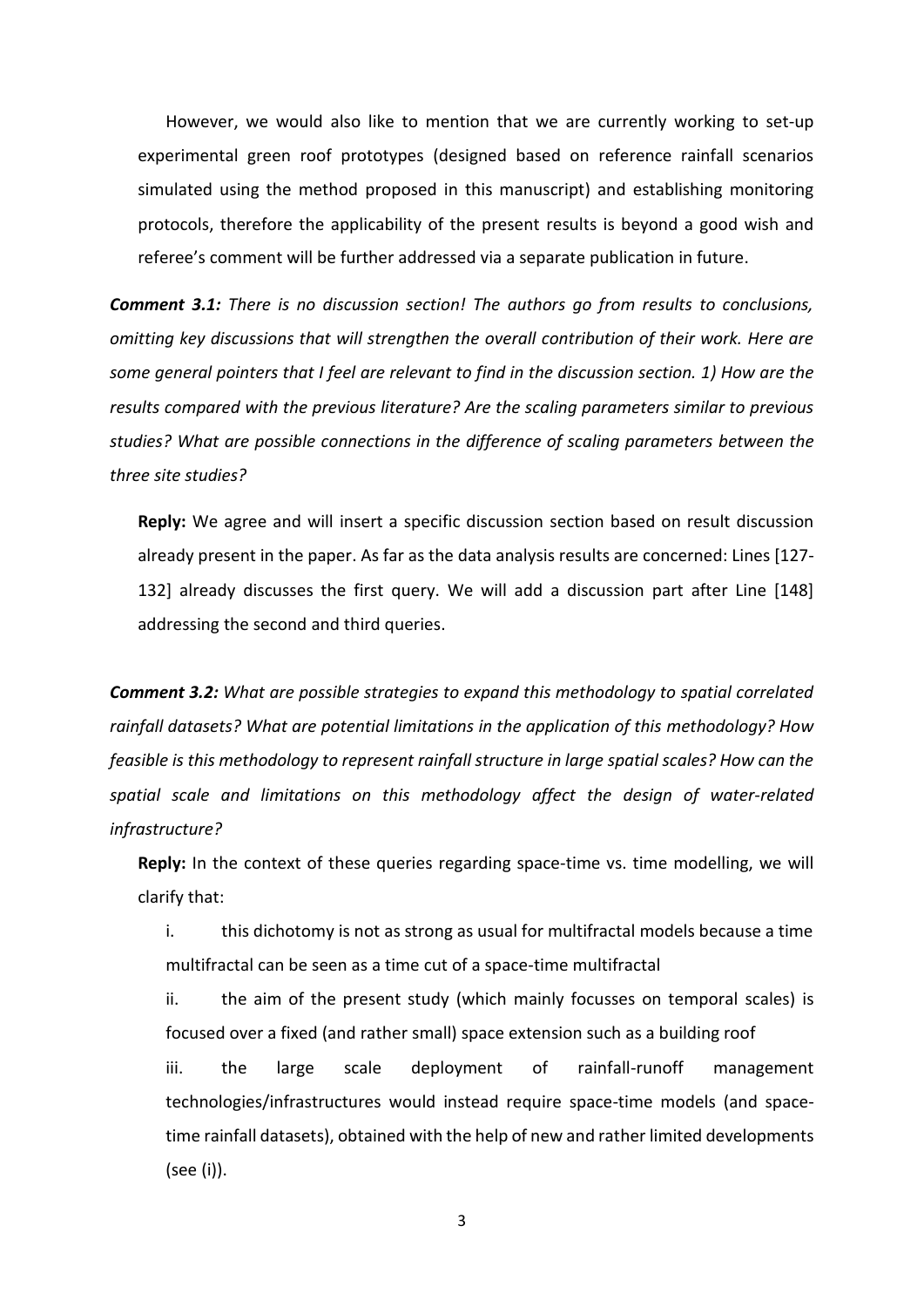However, we would also like to mention that we are currently working to set-up experimental green roof prototypes (designed based on reference rainfall scenarios simulated using the method proposed in this manuscript) and establishing monitoring protocols, therefore the applicability of the present results is beyond a good wish and referee's comment will be further addressed via a separate publication in future.

*Comment 3.1: There is no discussion section! The authors go from results to conclusions, omitting key discussions that will strengthen the overall contribution of their work. Here are some general pointers that I feel are relevant to find in the discussion section. 1) How are the results compared with the previous literature? Are the scaling parameters similar to previous studies? What are possible connections in the difference of scaling parameters between the three site studies?*

**Reply:** We agree and will insert a specific discussion section based on result discussion already present in the paper. As far as the data analysis results are concerned: Lines [127- 132] already discusses the first query. We will add a discussion part after Line [148] addressing the second and third queries.

*Comment 3.2: What are possible strategies to expand this methodology to spatial correlated rainfall datasets? What are potential limitations in the application of this methodology? How feasible is this methodology to represent rainfall structure in large spatial scales? How can the spatial scale and limitations on this methodology affect the design of water-related infrastructure?*

**Reply:** In the context of these queries regarding space-time vs. time modelling, we will clarify that:

i. this dichotomy is not as strong as usual for multifractal models because a time multifractal can be seen as a time cut of a space-time multifractal

ii. the aim of the present study (which mainly focusses on temporal scales) is focused over a fixed (and rather small) space extension such as a building roof

iii. the large scale deployment of rainfall-runoff management technologies/infrastructures would instead require space-time models (and spacetime rainfall datasets), obtained with the help of new and rather limited developments (see (i)).

3